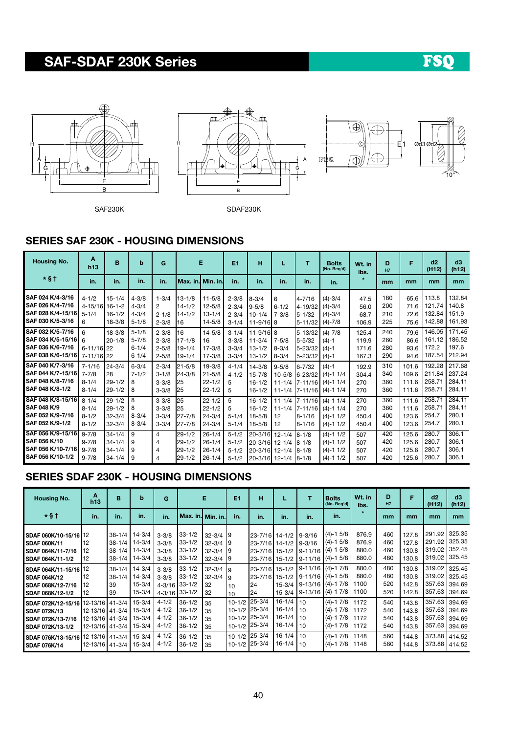# SAF-SDAF 230K Series

# FSQ







SAF230K SDAF230K

### SERIES SAF 230K - HOUSING DIMENSIONS

| <b>Housing No.</b>                                                                            | A<br>h13                                          | B                                                    | b                                                | G                                                |                                              | Е                                                    | E1                                               | н                                                          | L                                                   | т                                                   | <b>Bolts</b><br>(No. Reg'd)                                                   | Wt. in<br>lbs.                   | D<br>H7                  | F                                | d2<br>(H12)                                   | d3<br>(h12)                          |
|-----------------------------------------------------------------------------------------------|---------------------------------------------------|------------------------------------------------------|--------------------------------------------------|--------------------------------------------------|----------------------------------------------|------------------------------------------------------|--------------------------------------------------|------------------------------------------------------------|-----------------------------------------------------|-----------------------------------------------------|-------------------------------------------------------------------------------|----------------------------------|--------------------------|----------------------------------|-----------------------------------------------|--------------------------------------|
| $*$ §†                                                                                        | in.                                               | in.                                                  | in.                                              | in.                                              | l Max. in.l Min. in.l                        |                                                      | in.                                              | in.                                                        | in.                                                 | in.                                                 | in.                                                                           |                                  | mm                       | mm                               | mm                                            | <sub>mm</sub>                        |
| <b>SAF 024 K/4-3/16</b><br>SAF 026 K/4-7/16<br>SAF 028 K/4-15/16<br><b>SAF 030 K/5-3/16</b>   | $4 - 1/2$<br>4-15/16 16-1-2<br>$5 - 1/4$<br>6     | $15 - 1/4$<br>$16 - 1/2$<br>$18 - 3/8$               | $4 - 3/8$<br>$4 - 3/4$<br>$4 - 3/4$<br>$5 - 1/8$ | $1 - 3/4$<br>2<br>$2 - 1/8$<br>$2 - 3/8$         | 113-1/8<br>$14 - 1/2$<br>$14 - 1/2$<br>16    | $11 - 5/8$<br>$12 - 5/8$<br>$13 - 1/4$<br>$14 - 5/8$ | $2 - 3/8$<br>$2 - 3/4$<br>$2 - 3/4$<br>$3 - 1/4$ | $8 - 3/4$<br>$9 - 5/8$<br>$10 - 1/4$<br>$11 - 9/16$ 8      | 6<br>$6 - 1/2$<br>$7 - 3/8$                         | 4-7/16<br>4-19/32<br>$5 - 1/32$<br>$5 - 11/32$      | $(4) - 3/4$<br>$(4) - 3/4$<br>$(4) - 3/4$<br>$(4) - 7/8$                      | 47.5<br>56.0<br>68.7<br>106.9    | 180<br>200<br>210<br>225 | 65.6<br>71.6<br>72.6<br>75.6     | 113.8<br>121.74<br>132.84<br>142.88           | 132.84<br>140.8<br>151.9<br>161.93   |
| SAF 032 K/5-7/16<br>SAF 034 K/5-15/16<br><b>ISAF 036 K/6-7/16</b><br><b>SAF 038 K/6-15/16</b> | 6<br>6<br>$6 - 11/16$  22<br>7-11/16 22           | $18 - 3/8$<br>$20 - 1/8$                             | $5 - 1/8$<br>$5 - 7/8$<br>$6 - 1/4$<br>$6 - 1/4$ | $2 - 3/8$<br>$2 - 3/8$<br>$2 - 5/8$<br>$2 - 5/8$ | 16<br>$17 - 1/8$<br>$19 - 1/4$<br>$19 - 1/4$ | $14 - 5/8$<br>16<br>$17 - 3/8$<br>$17 - 3/8$         | $3 - 1/4$<br>$3 - 3/8$<br>$3 - 3/4$<br>$3 - 3/4$ | $11 - 9/16$ 8<br>$11 - 3/4$<br>$13 - 1/2$<br>$13 - 1/2$    | $7 - 5/8$<br>$8 - 3/4$<br>$8 - 3/4$                 | 5-13/32<br>$5 - 5/32$<br>$5 - 23/32$<br>$5 - 23/32$ | $(4) - 7/8$<br>$(4)-1$<br>$(4)-1$<br>$(4)-1$                                  | 125.4<br>119.9<br>171.6<br>167.3 | 240<br>260<br>280<br>290 | 79.6<br>86.6<br>93.6<br>94.6     | 146.05<br>161.12<br>172.2<br>187.54           | 171.45<br>186.52<br>197.6<br>212.94  |
| SAF 040 K/7-3/16<br>SAF 044 K/7-15/16<br>ISAF 048 K/8-7/16<br><b>SAF 048 K/8-1/2</b>          | $7 - 1/16$<br>$7 - 7/8$<br>$8 - 1/4$<br>$8 - 1/4$ | $24 - 3/4$<br>28<br>$29 - 1/2$<br>$29 - 1/2$         | $6 - 3/4$<br>$7 - 1/2$<br>8<br>8                 | $2 - 3/4$<br>$3 - 1/8$<br>$3 - 3/8$<br>$3 - 3/8$ | $21 - 5/8$<br>$24 - 3/8$<br>25<br>125        | $19 - 3/8$<br>$21 - 5/8$<br>$22 - 1/2$<br>$22 - 1/2$ | $4 - 1/4$<br>$4 - 1/2$<br>5<br>5                 | $14 - 3/8$<br>$15 - 7/8$<br>$16 - 1/2$<br>$16 - 1/2$       | $9 - 5/8$<br>$10 - 5/8$<br>$11 - 1/4$<br>$11 - 1/4$ | $6 - 7/32$<br>$6 - 23/32$                           | $(4)-1$<br>$(4) - 1$ 1/4<br><b>1</b> 7-11/16 (4)-1 1/4<br>$7-11/16$ (4)-1 1/4 | 192.9<br>304.4<br>270<br>270     | 310<br>340<br>360<br>360 | 101.6<br>109.6<br>111.6<br>111.6 | 192.28<br>211.84<br>258.71<br>$258.7^{\circ}$ | 217.68<br>237.24<br>284.11<br>284.11 |
| SAF 048 K/8-15/16<br><b>SAF 048 K/9</b><br>ISAF 052 K/9-7/16<br>SAF 052 K/9-1/2               | $8 - 1/4$<br>$8 - 1/4$<br>$8 - 1/2$<br>$8 - 1/2$  | $29 - 1/2$<br>$29 - 1/2$<br>$32 - 3/4$<br>$32 - 3/4$ | 8<br>8<br>$8 - 3/4$<br>$8 - 3/4$                 | $3 - 3/8$<br>$3 - 3/8$<br>$3 - 3/4$<br>$3 - 3/4$ | 25<br>25<br>$27 - 7/8$<br>$27 - 7/8$         | $22 - 1/2$<br>$22 - 1/2$<br>$24 - 3/4$<br>$24 - 3/4$ | 5<br>5<br>$5 - 1/4$<br>$5 - 1/4$                 | $16 - 1/2$<br>$16 - 1/2$<br>$18 - 5/8$<br>$18 - 5/8$       | $11 - 1/4$<br>$11 - 1/4$<br>12<br>12                | 7-11/16<br>$7 - 11/16$<br>8-1/16<br>8-1/16          | $(4) - 1$ 1/4<br>$(4) - 11/4$<br>$(4)-1$ 1/2<br>$(4)-1$ 1/2                   | 270<br>270<br>450.4<br>450.4     | 360<br>360<br>400<br>400 | 111.6<br>111.6<br>123.6<br>123.6 | 258.71<br>$258.7^{\circ}$<br>254.7<br>254.7   | 284.11<br>284.11<br>280.1<br>280.1   |
| SAF 056 K/9-15/16<br><b>SAF 056 K/10</b><br><b>SAF 056 K/10-7/16</b><br>SAF 056 K/10-1/2      | $9 - 7/8$<br>$9 - 7/8$<br>$9 - 7/8$<br>$9 - 7/8$  | $34 - 1/4$<br>$34 - 1/4$<br>$34 - 1/4$<br>$34 - 1/4$ | 9<br>9<br>9<br>9                                 | $\overline{4}$<br>$\overline{4}$<br>4<br>4       | $29 - 1/2$<br>$29 - 1/2$<br>29-1/2<br>29-1/2 | $26 - 1/4$<br>$26 - 1/4$<br>$26 - 1/4$<br>$26 - 1/4$ | $5 - 1/2$<br>$5 - 1/2$<br>$5 - 1/2$<br>$5 - 1/2$ | $20 - 3/16$<br>20-3/16 12-1/4<br>20-3/16 12-1/4<br>20-3/16 | $12 - 1/4$<br>$12 - 1/4$                            | $8 - 1/8$<br>$8 - 1/8$<br>$18 - 1/8$<br>$18 - 1/8$  | $(4) - 1$ $1/2$<br>$(4)-1$ 1/2<br>$(4)-1$ 1/2<br>$(4)-1$ 1/2                  | 507<br>507<br>507<br>507         | 420<br>420<br>420<br>420 | 125.6<br>125.6<br>125.6<br>125.6 | 280.7<br>280.7<br>280.7<br>280.7              | 306.1<br>306.1<br>306.1<br>306.1     |

### SERIES SDAF 230K - HOUSING DIMENSIONS

| <b>Housing No.</b>                                                                                        | A<br>h13                                                    | в                                                    | b                                                | G                                                        |                                                      | Е                                                            | E1                                                                | н                                                  |                                                      | т                                                                 | <b>Bolts</b><br>(No. Req'd)                                              | Wt. in<br>lbs.                    | D<br>H7                  | F                                | d2<br>(H12)                          | d3<br>(h12)                          |
|-----------------------------------------------------------------------------------------------------------|-------------------------------------------------------------|------------------------------------------------------|--------------------------------------------------|----------------------------------------------------------|------------------------------------------------------|--------------------------------------------------------------|-------------------------------------------------------------------|----------------------------------------------------|------------------------------------------------------|-------------------------------------------------------------------|--------------------------------------------------------------------------|-----------------------------------|--------------------------|----------------------------------|--------------------------------------|--------------------------------------|
| $*$ §†                                                                                                    | in.                                                         | in.                                                  | in.                                              | in.                                                      | Max. in. Min. in.                                    |                                                              | in.                                                               | in.                                                | in.                                                  | in.                                                               | in.                                                                      |                                   | mm                       | mm                               | mm                                   | <sub>mm</sub>                        |
| SDAF 060K/10-15/16 12<br><b>SDAF 060K/11</b><br><b>SDAF 064K/11-7/16</b><br><b>SDAF 064K/11-1/2</b>       | 112<br>12                                                   | $38 - 1/4$<br>$38 - 1/4$<br>$38 - 1/4$<br>$38 - 1/4$ | 14-3/4<br>14-3/4<br>$14 - 3/4$<br>$14 - 3/4$     | $3 - 3/8$<br>$3 - 3/8$<br>$3 - 3/8$<br>$3 - 3/8$         | $33 - 1/2$<br>$33 - 1/2$<br>$33 - 1/2$<br>$33 - 1/2$ | $32 - 3/4$ 9<br>$32 - 3/4$ 9<br>$32 - 3/4$ 9<br>$32 - 3/4$ 9 |                                                                   | 23-7/16 14-1/2<br>23-7/16 14-1/2<br>23-7/16 15-1/2 |                                                      | $9 - 3/16$<br>$9 - 3/16$<br>23-7/16 15-1/2 9-11/16<br>$9 - 11/16$ | $(4)-1$ 5/8<br>$(4)-1$ 5/8<br>$(4) - 1$ 5/8<br>$(4) - 15/8$              | 876.9<br>876.9<br>880.0<br>880.0  | 460<br>460<br>460<br>480 | 127.8<br>127.8<br>130.8<br>130.8 | 291.92<br>291.92<br>319.02<br>319.02 | 325.35<br>325.35<br>352.45<br>325.45 |
| SDAF 064K/11-15/16 12<br><b>SDAF 064K/12</b><br><b>SDAF 068K/12-7/16</b><br>SDAF 068K/12-1/2              | 12<br>l12<br>12                                             | $38 - 1/4$<br>$38 - 1/4$<br>39<br>39                 | 14-3/4<br>14-3/4<br>$15 - 3/4$<br>$15 - 3/4$     | $3 - 3/8$<br>$3 - 3/8$<br>4-3/16 33-1/2<br>4-3/16 33-1/2 | $33 - 1/2$<br>$33 - 1/2$                             | $32 - 3/4$ 9<br>$32 - 3/4$   9<br>32<br>32                   | 10<br>10                                                          | 23-7/16 15-1/2<br>23-7/16 15-1/2<br>24<br>24       | $15 - 3/4$<br>$15 - 3/4$                             | $9-13/16$ (4)-17/8                                                | $9-11/16$ (4)-17/8<br>$9-11/16$ (4)-1 5/8<br>$9-13/16$ (4)-17/8          | 880.0<br>880.0<br>11100<br>  1100 | 480<br>480<br>520<br>520 | 130.8<br>130.8<br>142.8<br>142.8 | 319.02<br>319.02<br>357.63<br>357.63 | 325.45<br>325.45<br>394.69<br>394.69 |
| SDAF 072K/12-15/16 12-13/16 21-3/4<br><b>SDAF 072K/13</b><br><b>SDAF 072K/13-7/16</b><br>SDAF 072K/13-1/2 | 12-13/16 41-3/4<br>12-13/16   41-3/4  <br>12-13/16   41-3/4 |                                                      | $15 - 3/4$<br>15-3/4<br>$15 - 3/4$<br>$15 - 3/4$ | $4 - 1/2$<br>$4 - 1/2$<br>$4 - 1/2$<br>$4 - 1/2$         | $36 - 1/2$<br>$36 - 1/2$<br>$36 - 1/2$<br>$36 - 1/2$ | 35<br>35<br>35<br>35                                         | $10 - 1/2$<br>$10-1/2$ 25-3/4<br>10-1/2 25-3/4<br>$10-1/2$ 25-3/4 | $25 - 3/4$                                         | $16 - 1/4$<br>$16 - 1/4$<br>$16 - 1/4$<br>$16 - 1/4$ | l 10<br>110<br>110<br>l 10                                        | $(4)-17/8$ 1172<br>$(4)-17/8$ 1172<br>$(4)-17/8$ 1172<br>$(4)-17/8$ 1172 |                                   | 540<br>540<br>540<br>540 | 143.8<br>143.8<br>143.8<br>143.8 | 357.63<br>357.63<br>357.63<br>357.63 | 394.69<br>394.69<br>394.69<br>394.69 |
| SDAF 076K/13-15/16 12-13/16 41-3/4<br><b>SDAF 076K/14</b>                                                 | 12-13/16   41-3/4                                           |                                                      | $15 - 3/4$<br>$15 - 3/4$                         | $4 - 1/2$<br>$4 - 1/2$                                   | $36 - 1/2$<br>$36 - 1/2$                             | 35<br>35                                                     | $10-1/2$ 25-3/4<br>10-1/2 25-3/4                                  |                                                    | $16 - 1/4$<br>$16 - 1/4$                             | l 10<br>l 10                                                      | $(4) - 17/8$ 1148<br>$(4)-17/8$                                          | 1148                              | 560<br>560               | 144.8<br>144.8                   | 373.88 414.52<br>373.88              | 414.52                               |